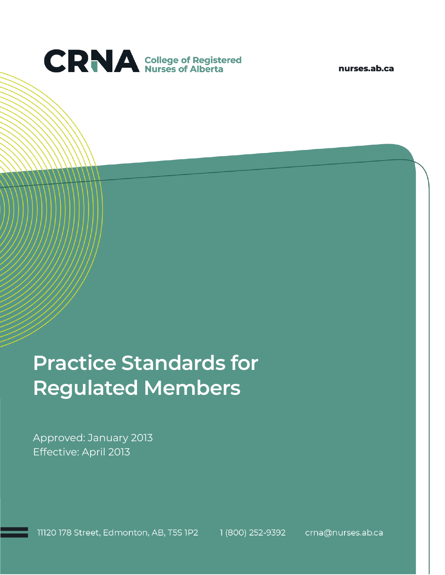

nurses.ab.ca

# **Practice Standards for Regulated Members**

Approved: January 2013 Effective: April 2013

11120 178 Street, Edmonton, AB, T5S 1P2 1 (800) 252-9392 crna@nurses.ab.ca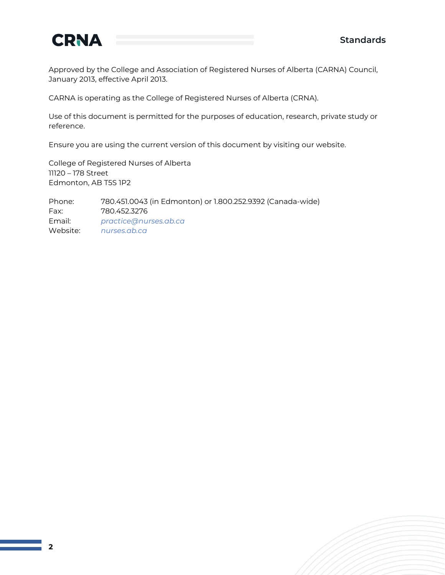

Approved by the College and Association of Registered Nurses of Alberta (CARNA) Council, January 2013, effective April 2013.

CARNA is operating as the College of Registered Nurses of Alberta (CRNA).

Use of this document is permitted for the purposes of education, research, private study or reference.

Ensure you are using the current version of this document by visiting our website.

College of Registered Nurses of Alberta 11120 – 178 Street Edmonton, AB T5S 1P2

Phone: 780.451.0043 (in Edmonton) or 1.800.252.9392 (Canada-wide) Fax: 780.452.3276 Email: *[practice@nurses.ab.ca](mailto:practice@nurses.ab.ca)* Website: *[nurses.ab.ca](http://www.nurses.ab.ca/)*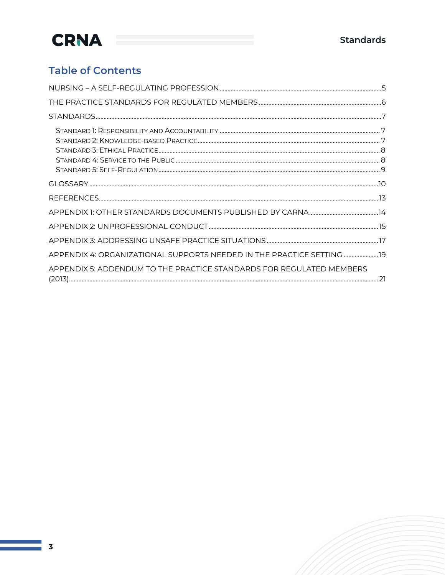### **Table of Contents**

| APPENDIX 4: ORGANIZATIONAL SUPPORTS NEEDED IN THE PRACTICE SETTING  19 |  |
|------------------------------------------------------------------------|--|
| APPENDIX 5: ADDENDUM TO THE PRACTICE STANDARDS FOR REGULATED MEMBERS   |  |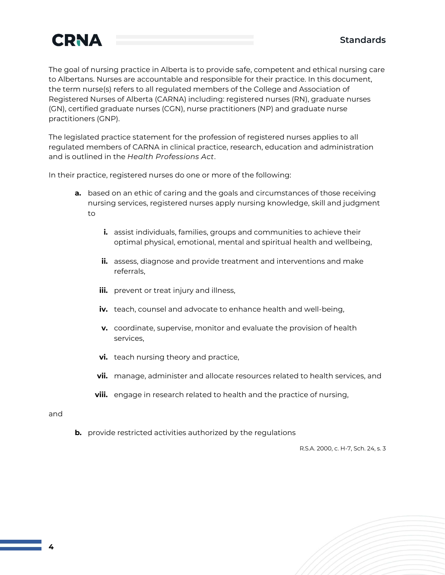

The goal of nursing practice in Alberta is to provide safe, competent and ethical nursing care to Albertans. Nurses are accountable and responsible for their practice. In this document, the term nurse(s) refers to all regulated members of the College and Association of Registered Nurses of Alberta (CARNA) including: registered nurses (RN), graduate nurses (GN), certified graduate nurses (CGN), nurse practitioners (NP) and graduate nurse practitioners (GNP).

The legislated practice statement for the profession of registered nurses applies to all regulated members of CARNA in clinical practice, research, education and administration and is outlined in the *Health Professions Act*.

In their practice, registered nurses do one or more of the following:

- **a.** based on an ethic of caring and the goals and circumstances of those receiving nursing services, registered nurses apply nursing knowledge, skill and judgment to
	- **i.** assist individuals, families, groups and communities to achieve their optimal physical, emotional, mental and spiritual health and wellbeing,
	- **ii.** assess, diagnose and provide treatment and interventions and make referrals,
	- **iii.** prevent or treat injury and illness,
	- **iv.** teach, counsel and advocate to enhance health and well-being,
	- **v.** coordinate, supervise, monitor and evaluate the provision of health services,
	- **vi.** teach nursing theory and practice,
	- **vii.** manage, administer and allocate resources related to health services, and
	- **viii.** engage in research related to health and the practice of nursing,

#### and

**b.** provide restricted activities authorized by the regulations

R.S.A. 2000, c. H-7, Sch. 24, s. 3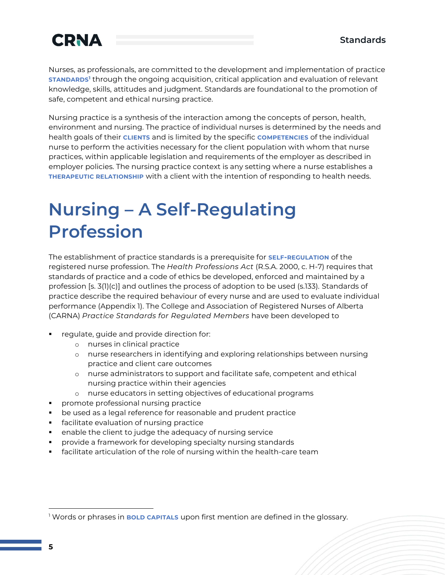Nurses, as professionals, are committed to the development and implementation of practice **STANDARDS<sup>1</sup>** through the ongoing acquisition, critical application and evaluation of relevant knowledge, skills, attitudes and judgment. Standards are foundational to the promotion of safe, competent and ethical nursing practice.

Nursing practice is a synthesis of the interaction among the concepts of person, health, environment and nursing. The practice of individual nurses is determined by the needs and health goals of their **CLIENTS** and is limited by the specific **COMPETENCIES** of the individual nurse to perform the activities necessary for the client population with whom that nurse practices, within applicable legislation and requirements of the employer as described in employer policies. The nursing practice context is any setting where a nurse establishes a **THERAPEUTIC RELATIONSHIP** with a client with the intention of responding to health needs.

## **Nursing – A Self-Regulating Profession**

The establishment of practice standards is a prerequisite for **SELF-REGULATION** of the registered nurse profession. The *Health Professions Act* (R.S.A. 2000, c. H-7) requires that standards of practice and a code of ethics be developed, enforced and maintained by a profession [s. 3(1)(c)] and outlines the process of adoption to be used (s.133). Standards of practice describe the required behaviour of every nurse and are used to evaluate individual performance (Appendix 1). The College and Association of Registered Nurses of Alberta (CARNA) *Practice Standards for Regulated Members* have been developed to

- regulate, guide and provide direction for:
	- o nurses in clinical practice
	- o nurse researchers in identifying and exploring relationships between nursing practice and client care outcomes
	- o nurse administrators to support and facilitate safe, competent and ethical nursing practice within their agencies
	- o nurse educators in setting objectives of educational programs
- promote professional nursing practice
- be used as a legal reference for reasonable and prudent practice
- **·** facilitate evaluation of nursing practice
- enable the client to judge the adequacy of nursing service
- provide a framework for developing specialty nursing standards
- facilitate articulation of the role of nursing within the health-care team

<sup>&</sup>lt;sup>1</sup> Words or phrases in **BOLD CAPITALS** upon first mention are defined in the glossary.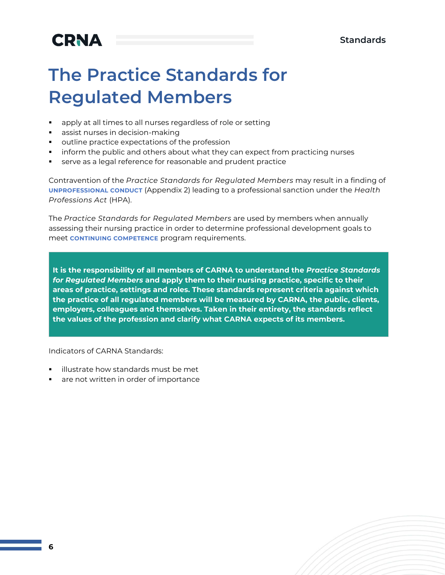### **The Practice Standards for Regulated Members**

- apply at all times to all nurses regardless of role or setting
- assist nurses in decision-making
- outline practice expectations of the profession
- **•** inform the public and others about what they can expect from practicing nurses
- serve as a legal reference for reasonable and prudent practice

Contravention of the *Practice Standards for Regulated Members* may result in a finding of **UNPROFESSIONAL CONDUCT** (Appendix 2) leading to a professional sanction under the *Health Professions Act* (HPA).

The *Practice Standards for Regulated Members* are used by members when annually assessing their nursing practice in order to determine professional development goals to meet **CONTINUING COMPETENCE** program requirements.

**It is the responsibility of all members of CARNA to understand the** *Practice Standards for Regulated Members* **and apply them to their nursing practice, specific to their areas of practice, settings and roles. These standards represent criteria against which the practice of all regulated members will be measured by CARNA, the public, clients, employers, colleagues and themselves. Taken in their entirety, the standards reflect the values of the profession and clarify what CARNA expects of its members.**

Indicators of CARNA Standards:

- illustrate how standards must be met
- are not written in order of importance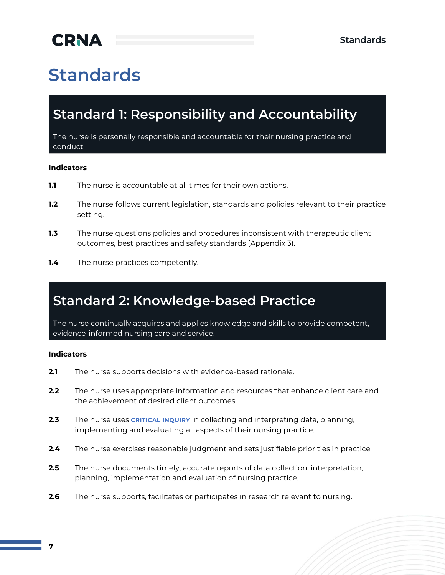# **Standards**

### **Standard 1: Responsibility and Accountability**

The nurse is personally responsible and accountable for their nursing practice and conduct.

#### **Indicators**

- **1.1** The nurse is accountable at all times for their own actions.
- **1.2** The nurse follows current legislation, standards and policies relevant to their practice setting.
- **1.3** The nurse questions policies and procedures inconsistent with therapeutic client outcomes, best practices and safety standards (Appendix 3).
- **1.4** The nurse practices competently.

### **Standard 2: Knowledge-based Practice**

The nurse continually acquires and applies knowledge and skills to provide competent, evidence-informed nursing care and service.

#### **Indicators**

- **2.1** The nurse supports decisions with evidence-based rationale.
- **2.2** The nurse uses appropriate information and resources that enhance client care and the achievement of desired client outcomes.
- **2.3** The nurse uses **CRITICAL INQUIRY** in collecting and interpreting data, planning, implementing and evaluating all aspects of their nursing practice.
- **2.4** The nurse exercises reasonable judgment and sets justifiable priorities in practice.
- **2.5** The nurse documents timely, accurate reports of data collection, interpretation, planning, implementation and evaluation of nursing practice.
- **2.6** The nurse supports, facilitates or participates in research relevant to nursing.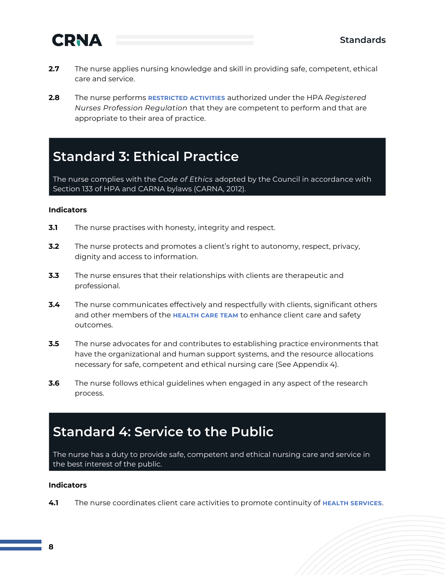

- **2.7** The nurse applies nursing knowledge and skill in providing safe, competent, ethical care and service.
- **2.8** The nurse performs **RESTRICTED ACTIVITIES** authorized under the HPA *Registered Nurses Profession Regulation* that they are competent to perform and that are appropriate to their area of practice.

### **Standard 3: Ethical Practice**

The nurse complies with the *Code of Ethics* adopted by the Council in accordance with Section 133 of HPA and CARNA bylaws (CARNA, 2012).

#### **Indicators**

- **3.1** The nurse practises with honesty, integrity and respect.
- **3.2** The nurse protects and promotes a client's right to autonomy, respect, privacy, dignity and access to information.
- **3.3** The nurse ensures that their relationships with clients are therapeutic and professional.
- **3.4** The nurse communicates effectively and respectfully with clients, significant others and other members of the **HEALTH CARE TEAM** to enhance client care and safety outcomes.
- **3.5** The nurse advocates for and contributes to establishing practice environments that have the organizational and human support systems, and the resource allocations necessary for safe, competent and ethical nursing care (See Appendix 4).
- **3.6** The nurse follows ethical guidelines when engaged in any aspect of the research process.

### **Standard 4: Service to the Public**

The nurse has a duty to provide safe, competent and ethical nursing care and service in the best interest of the public.

#### **Indicators**

**4.1** The nurse coordinates client care activities to promote continuity of **HEALTH SERVICES**.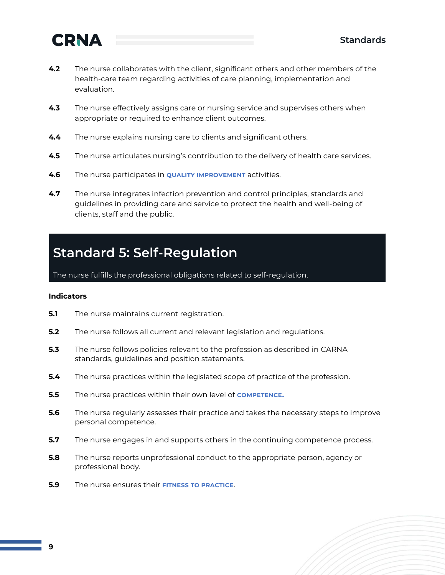

- **4.2** The nurse collaborates with the client, significant others and other members of the health-care team regarding activities of care planning, implementation and evaluation.
- **4.3** The nurse effectively assigns care or nursing service and supervises others when appropriate or required to enhance client outcomes.
- **4.4** The nurse explains nursing care to clients and significant others.
- **4.5** The nurse articulates nursing's contribution to the delivery of health care services.
- **4.6** The nurse participates in **QUALITY IMPROVEMENT** activities.
- **4.7** The nurse integrates infection prevention and control principles, standards and guidelines in providing care and service to protect the health and well-being of clients, staff and the public.

### **Standard 5: Self-Regulation**

The nurse fulfills the professional obligations related to self-regulation.

#### **Indicators**

- **5.1** The nurse maintains current registration.
- **5.2** The nurse follows all current and relevant legislation and regulations.
- **5.3** The nurse follows policies relevant to the profession as described in CARNA standards, guidelines and position statements.
- **5.4** The nurse practices within the legislated scope of practice of the profession.
- **5.5** The nurse practices within their own level of **COMPETENCE.**
- **5.6** The nurse regularly assesses their practice and takes the necessary steps to improve personal competence.
- **5.7** The nurse engages in and supports others in the continuing competence process.
- **5.8** The nurse reports unprofessional conduct to the appropriate person, agency or professional body.
- **5.9** The nurse ensures their **FITNESS TO PRACTICE**.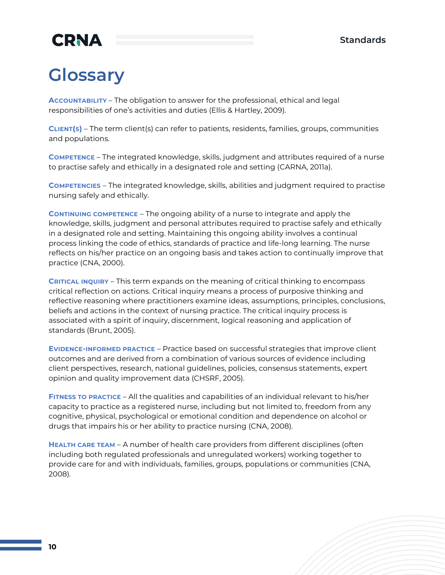### **Glossary**

**ACCOUNTABILITY** – The obligation to answer for the professional, ethical and legal responsibilities of one's activities and duties (Ellis & Hartley, 2009).

**CLIENT(S)** – The term client(s) can refer to patients, residents, families, groups, communities and populations.

**COMPETENCE** – The integrated knowledge, skills, judgment and attributes required of a nurse to practise safely and ethically in a designated role and setting (CARNA, 2011a).

**COMPETENCIES** – The integrated knowledge, skills, abilities and judgment required to practise nursing safely and ethically.

**CONTINUING COMPETENCE** – The ongoing ability of a nurse to integrate and apply the knowledge, skills, judgment and personal attributes required to practise safely and ethically in a designated role and setting. Maintaining this ongoing ability involves a continual process linking the code of ethics, standards of practice and life-long learning. The nurse reflects on his/her practice on an ongoing basis and takes action to continually improve that practice (CNA, 2000).

**CRITICAL INQUIRY** – This term expands on the meaning of critical thinking to encompass critical reflection on actions. Critical inquiry means a process of purposive thinking and reflective reasoning where practitioners examine ideas, assumptions, principles, conclusions, beliefs and actions in the context of nursing practice. The critical inquiry process is associated with a spirit of inquiry, discernment, logical reasoning and application of standards (Brunt, 2005).

**EVIDENCE-INFORMED PRACTICE** – Practice based on successful strategies that improve client outcomes and are derived from a combination of various sources of evidence including client perspectives, research, national guidelines, policies, consensus statements, expert opinion and quality improvement data (CHSRF, 2005).

**FITNESS TO PRACTICE** – All the qualities and capabilities of an individual relevant to his/her capacity to practice as a registered nurse, including but not limited to, freedom from any cognitive, physical, psychological or emotional condition and dependence on alcohol or drugs that impairs his or her ability to practice nursing (CNA, 2008).

**HEALTH CARE TEAM** – A number of health care providers from different disciplines (often including both regulated professionals and unregulated workers) working together to provide care for and with individuals, families, groups, populations or communities (CNA, 2008).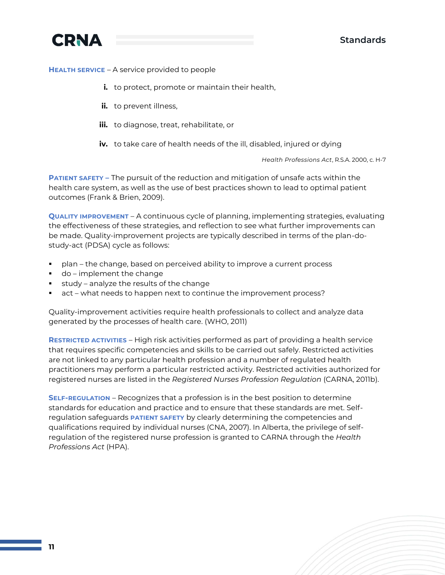



**HEALTH SERVICE** – A service provided to people

- **i.** to protect, promote or maintain their health,
- *ii.* to prevent illness,
- **iii.** to diagnose, treat, rehabilitate, or
- **iv.** to take care of health needs of the ill, disabled, injured or dying

*Health Professions Act*, R.S.A. 2000, c. H-7

**PATIENT SAFETY –** The pursuit of the reduction and mitigation of unsafe acts within the health care system, as well as the use of best practices shown to lead to optimal patient outcomes (Frank & Brien, 2009).

**QUALITY IMPROVEMENT** – A continuous cycle of planning, implementing strategies, evaluating the effectiveness of these strategies, and reflection to see what further improvements can be made. Quality-improvement projects are typically described in terms of the plan-dostudy-act (PDSA) cycle as follows:

- plan the change, based on perceived ability to improve a current process
- do implement the change
- study analyze the results of the change
- act what needs to happen next to continue the improvement process?

Quality-improvement activities require health professionals to collect and analyze data generated by the processes of health care. (WHO, 2011)

**RESTRICTED ACTIVITIES** – High risk activities performed as part of providing a health service that requires specific competencies and skills to be carried out safely. Restricted activities are not linked to any particular health profession and a number of regulated health practitioners may perform a particular restricted activity. Restricted activities authorized for registered nurses are listed in the *Registered Nurses Profession Regulation* (CARNA, 2011b).

**SELF-REGULATION** – Recognizes that a profession is in the best position to determine standards for education and practice and to ensure that these standards are met. Selfregulation safeguards **PATIENT SAFETY** by clearly determining the competencies and qualifications required by individual nurses (CNA, 2007). In Alberta, the privilege of selfregulation of the registered nurse profession is granted to CARNA through the *Health Professions Act* (HPA).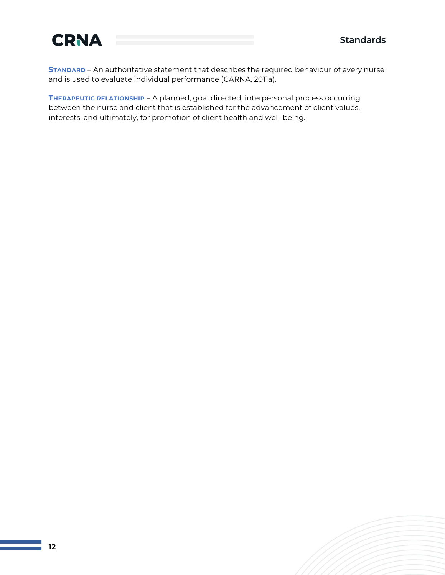

**STANDARD** – An authoritative statement that describes the required behaviour of every nurse and is used to evaluate individual performance (CARNA, 2011a).

**THERAPEUTIC RELATIONSHIP** – A planned, goal directed, interpersonal process occurring between the nurse and client that is established for the advancement of client values, interests, and ultimately, for promotion of client health and well-being.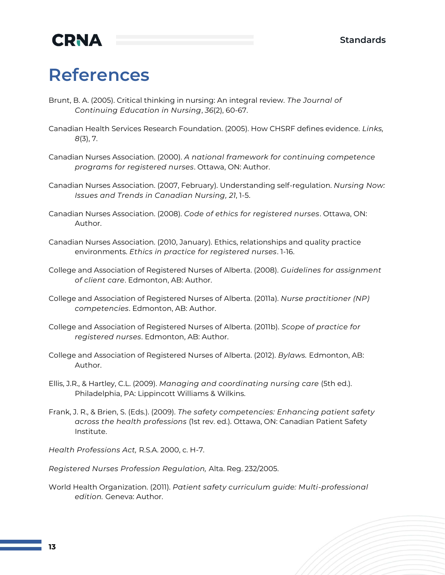### **References**

- Brunt, B. A. (2005). Critical thinking in nursing: An integral review. *The Journal of Continuing Education in Nursing*, *36*(2), 60-67.
- Canadian Health Services Research Foundation. (2005). How CHSRF defines evidence. *Links, 8*(3), 7.
- Canadian Nurses Association. (2000). *A national framework for continuing competence programs for registered nurses*. Ottawa, ON: Author.
- Canadian Nurses Association. (2007, February). Understanding self-regulation. *Nursing Now: Issues and Trends in Canadian Nursing, 21*, 1-5.
- Canadian Nurses Association. (2008). *Code of ethics for registered nurses*. Ottawa, ON: Author.
- Canadian Nurses Association. (2010, January). Ethics, relationships and quality practice environments. *Ethics in practice for registered nurses*. 1-16.
- College and Association of Registered Nurses of Alberta. (2008). *Guidelines for assignment of client care*. Edmonton, AB: Author.
- College and Association of Registered Nurses of Alberta. (2011a). *Nurse practitioner (NP) competencies*. Edmonton, AB: Author.
- College and Association of Registered Nurses of Alberta. (2011b). *Scope of practice for registered nurses*. Edmonton, AB: Author.
- College and Association of Registered Nurses of Alberta. (2012). *Bylaws.* Edmonton, AB: Author.
- Ellis, J.R., & Hartley, C.L. (2009). *Managing and coordinating nursing care* (5th ed.). Philadelphia, PA: Lippincott Williams & Wilkins.
- Frank, J. R., & Brien, S. (Eds.). (2009). *The safety competencies: Enhancing patient safety across the health professions* (1st rev. ed.). Ottawa, ON: Canadian Patient Safety Institute.

*Health Professions Act,* R.S.A. 2000, c. H-7.

*Registered Nurses Profession Regulation,* Alta. Reg. 232/2005.

World Health Organization. (2011). *Patient safety curriculum guide: Multi-professional edition.* Geneva: Author.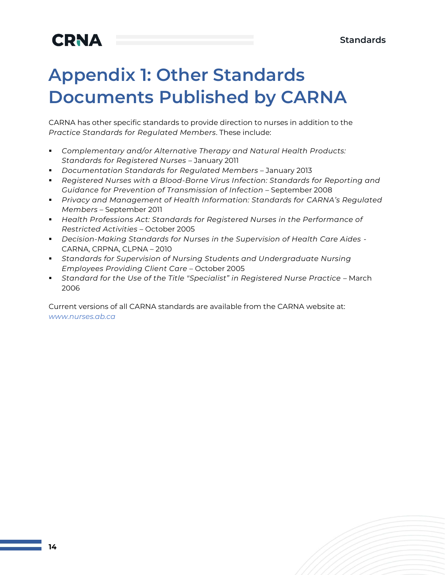## **Appendix 1: Other Standards Documents Published by CARNA**

CARNA has other specific standards to provide direction to nurses in addition to the *Practice Standards for Regulated Members*. These include:

- *Complementary and/or Alternative Therapy and Natural Health Products: Standards for Registered Nurses* – January 2011
- *Documentation Standards for Regulated Members* January 2013
- *Registered Nurses with a Blood-Borne Virus Infection: Standards for Reporting and Guidance for Prevention of Transmission of Infection* – September 2008
- *Privacy and Management of Health Information: Standards for CARNA's Regulated Members* – September 2011
- *Health Professions Act: Standards for Registered Nurses in the Performance of Restricted Activities* – October 2005
- *Decision-Making Standards for Nurses in the Supervision of Health Care Aides -* CARNA, CRPNA, CLPNA – 2010
- *Standards for Supervision of Nursing Students and Undergraduate Nursing Employees Providing Client Care* – October 2005
- *Standard for the Use of the Title "Specialist" in Registered Nurse Practice* March 2006

Current versions of all CARNA standards are available from the CARNA website at: *[www.nurses.ab.ca](http://www.nurses.ab.ca/)*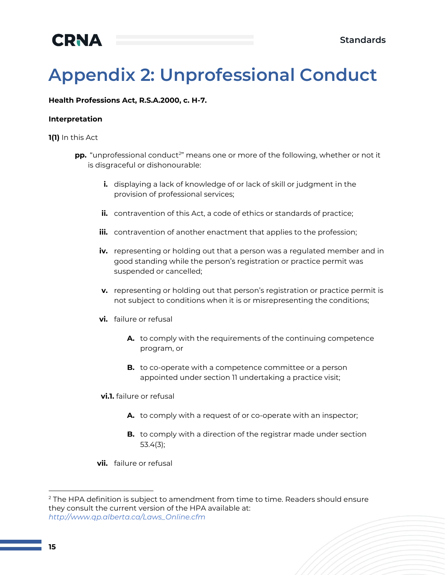# **Appendix 2: Unprofessional Conduct**

#### **Health Professions Act, R.S.A.2000, c. H-7.**

#### **Interpretation**

**1(1)** In this Act

- **pp.** "unprofessional conduct<sup>2</sup>" means one or more of the following, whether or not it is disgraceful or dishonourable:
	- **i.** displaying a lack of knowledge of or lack of skill or judgment in the provision of professional services;
	- **ii.** contravention of this Act, a code of ethics or standards of practice;
	- **iii.** contravention of another enactment that applies to the profession;
	- **iv.** representing or holding out that a person was a regulated member and in good standing while the person's registration or practice permit was suspended or cancelled;
	- **v.** representing or holding out that person's registration or practice permit is not subject to conditions when it is or misrepresenting the conditions;
	- **vi.** failure or refusal
		- **A.** to comply with the requirements of the continuing competence program, or
		- **B.** to co-operate with a competence committee or a person appointed under section 11 undertaking a practice visit;
	- **vi.1.** failure or refusal
		- **A.** to comply with a request of or co-operate with an inspector;
		- **B.** to comply with a direction of the registrar made under section 53.4(3);
	- **vii.** failure or refusal

<sup>&</sup>lt;sup>2</sup> The HPA definition is subject to amendment from time to time. Readers should ensure they consult the current version of the HPA available at: *http://www.qp.alberta.ca/Laws\_Online.cfm*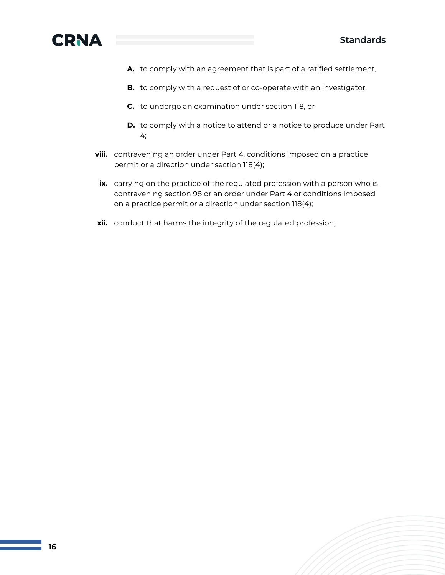

- **A.** to comply with an agreement that is part of a ratified settlement,
- **B.** to comply with a request of or co-operate with an investigator,
- **C.** to undergo an examination under section 118, or
- **D.** to comply with a notice to attend or a notice to produce under Part 4;
- **viii.** contravening an order under Part 4, conditions imposed on a practice permit or a direction under section 118(4);
- **ix.** carrying on the practice of the regulated profession with a person who is contravening section 98 or an order under Part 4 or conditions imposed on a practice permit or a direction under section 118(4);
- **xii.** conduct that harms the integrity of the regulated profession;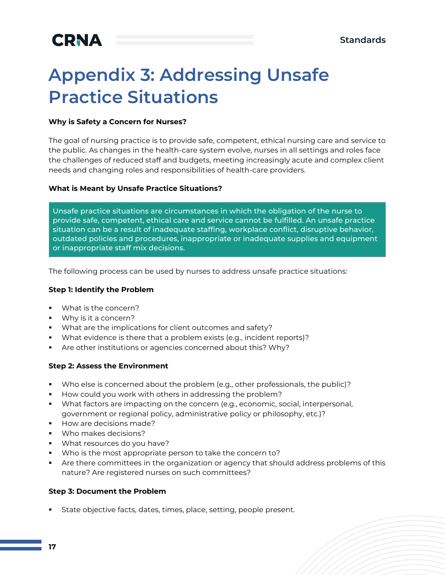## **Appendix 3: Addressing Unsafe Practice Situations**

#### **Why is Safety a Concern for Nurses?**

The goal of nursing practice is to provide safe, competent, ethical nursing care and service to the public. As changes in the health-care system evolve, nurses in all settings and roles face the challenges of reduced staff and budgets, meeting increasingly acute and complex client needs and changing roles and responsibilities of health-care providers.

#### **What is Meant by Unsafe Practice Situations?**

Unsafe practice situations are circumstances in which the obligation of the nurse to provide safe, competent, ethical care and service cannot be fulfilled. An unsafe practice situation can be a result of inadequate staffing, workplace conflict, disruptive behavior, outdated policies and procedures, inappropriate or inadequate supplies and equipment or inappropriate staff mix decisions.

The following process can be used by nurses to address unsafe practice situations:

#### **Step 1: Identify the Problem**

- What is the concern?
- Why is it a concern?
- What are the implications for client outcomes and safety?
- What evidence is there that a problem exists (e.g., incident reports)?
- **EXP** Are other institutions or agencies concerned about this? Why?

#### **Step 2: Assess the Environment**

- Who else is concerned about the problem (e.g., other professionals, the public)?
- How could you work with others in addressing the problem?
- What factors are impacting on the concern (e.g., economic, social, interpersonal, government or regional policy, administrative policy or philosophy, etc.)?
- How are decisions made?
- Who makes decisions?
- What resources do you have?
- Who is the most appropriate person to take the concern to?
- **•** Are there committees in the organization or agency that should address problems of this nature? Are registered nurses on such committees?

#### **Step 3: Document the Problem**

■ State objective facts, dates, times, place, setting, people present.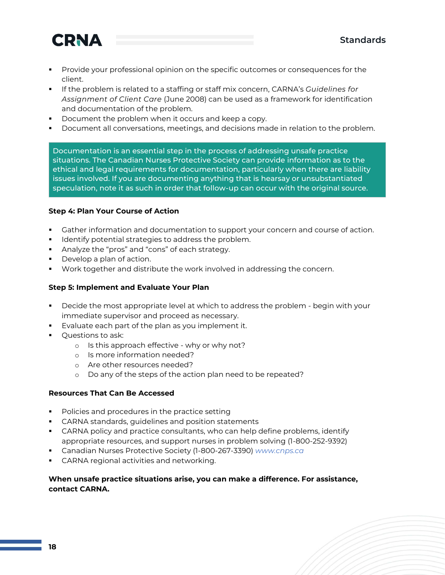

- **•** Provide your professional opinion on the specific outcomes or consequences for the client.
- If the problem is related to a staffing or staff mix concern, CARNA's *Guidelines for Assignment of Client Care* (June 2008) can be used as a framework for identification and documentation of the problem.
- Document the problem when it occurs and keep a copy.
- **•** Document all conversations, meetings, and decisions made in relation to the problem.

Documentation is an essential step in the process of addressing unsafe practice situations. The Canadian Nurses Protective Society can provide information as to the ethical and legal requirements for documentation, particularly when there are liability issues involved. If you are documenting anything that is hearsay or unsubstantiated speculation, note it as such in order that follow-up can occur with the original source.

#### **Step 4: Plan Your Course of Action**

- Gather information and documentation to support your concern and course of action.
- Identify potential strategies to address the problem.
- Analyze the "pros" and "cons" of each strategy.
- Develop a plan of action.
- Work together and distribute the work involved in addressing the concern.

#### **Step 5: Implement and Evaluate Your Plan**

- Decide the most appropriate level at which to address the problem begin with your immediate supervisor and proceed as necessary.
- Evaluate each part of the plan as you implement it.
- Questions to ask:
	- o Is this approach effective why or why not?
	- o Is more information needed?
	- o Are other resources needed?
	- o Do any of the steps of the action plan need to be repeated?

#### **Resources That Can Be Accessed**

- Policies and procedures in the practice setting
- CARNA standards, guidelines and position statements
- **•** CARNA policy and practice consultants, who can help define problems, identify appropriate resources, and support nurses in problem solving (1-800-252-9392)
- Canadian Nurses Protective Society (1-800-267-3390) *[www.cnps.ca](http://www.cnps.ca/)*
- **EXECARNA regional activities and networking.**

#### **When unsafe practice situations arise, you can make a difference. For assistance, contact CARNA.**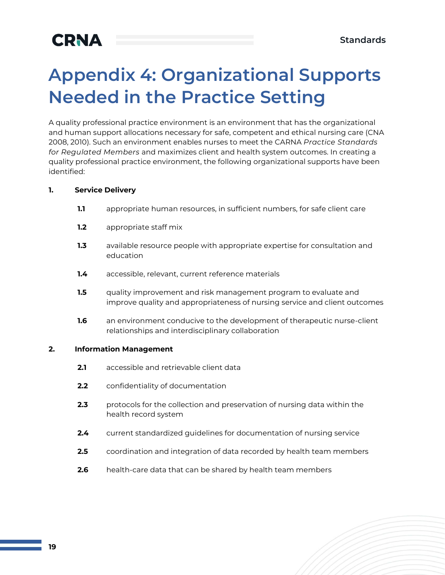## **Appendix 4: Organizational Supports Needed in the Practice Setting**

A quality professional practice environment is an environment that has the organizational and human support allocations necessary for safe, competent and ethical nursing care (CNA 2008, 2010). Such an environment enables nurses to meet the CARNA *Practice Standards for Regulated Members* and maximizes client and health system outcomes. In creating a quality professional practice environment, the following organizational supports have been identified:

#### **1. Service Delivery**

- **1.1** appropriate human resources, in sufficient numbers, for safe client care
- **1.2** appropriate staff mix
- **1.3** available resource people with appropriate expertise for consultation and education
- **1.4** accessible, relevant, current reference materials
- **1.5** quality improvement and risk management program to evaluate and improve quality and appropriateness of nursing service and client outcomes
- **1.6** an environment conducive to the development of therapeutic nurse-client relationships and interdisciplinary collaboration

#### **2. Information Management**

- **2.1** accessible and retrievable client data
- **2.2** confidentiality of documentation
- **2.3** protocols for the collection and preservation of nursing data within the health record system
- **2.4** current standardized guidelines for documentation of nursing service
- **2.5** coordination and integration of data recorded by health team members
- **2.6** health-care data that can be shared by health team members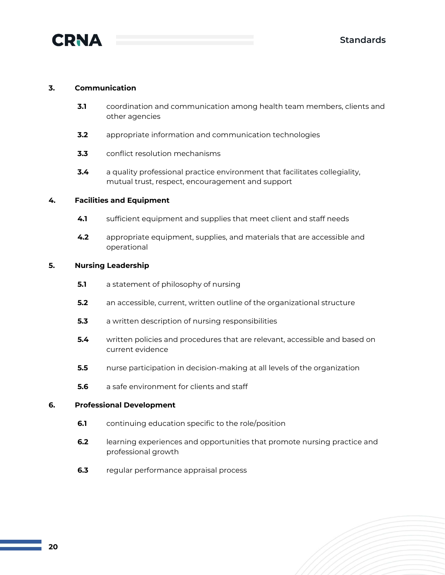

#### **3. Communication**

- **3.1** coordination and communication among health team members, clients and other agencies
- **3.2** appropriate information and communication technologies
- **3.3** conflict resolution mechanisms
- **3.4** a quality professional practice environment that facilitates collegiality, mutual trust, respect, encouragement and support

#### **4. Facilities and Equipment**

- **4.1** sufficient equipment and supplies that meet client and staff needs
- **4.2** appropriate equipment, supplies, and materials that are accessible and operational

#### **5. Nursing Leadership**

- **5.1** a statement of philosophy of nursing
- **5.2** an accessible, current, written outline of the organizational structure
- **5.3** a written description of nursing responsibilities
- **5.4** written policies and procedures that are relevant, accessible and based on current evidence
- **5.5** nurse participation in decision-making at all levels of the organization
- **5.6** a safe environment for clients and staff

#### **6. Professional Development**

- **6.1** continuing education specific to the role/position
- **6.2** learning experiences and opportunities that promote nursing practice and professional growth
- **6.3** regular performance appraisal process